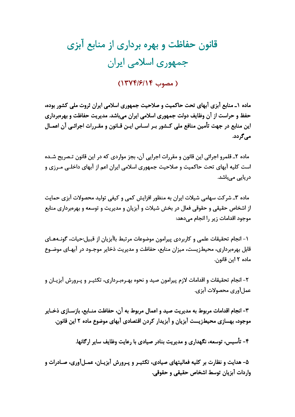## قانون حفاظت و بهره برداری از منابع آبزی جمهوری اسلامی ایران

## ( مصوب ١٣٧٤/١٤/١)

ماده ۱ـ منابع آبزی آبهای تحت حاکمیت و صلاحیت جمهوری اسلامی ایران ثروت ملی کشور بوده، حفظ و حراست از آن وظایف دولت جمهوری اسلامی ایران میباشد. مدیریت حفاظت و بهرهبرداری این منابع در جهت تأمین منافع ملی کـشور بـر اسـاس ایـن قـانون و مقـررات اجرائـی آن اعمـال مے <sub>،</sub>گردد.

ماده ۲ـ قلمرو اجرائي اين قانون و مقررات اجرايي آن، بجز مواردي كه در اين قانون تـصريح شــده است کلیه آبهای تحت حاکمیت و صلاحیت جمهوری اسلامی ایران اعم از آبهای داخلـی مـرزی و دریایے مے،باشد.

ماده ۳ـ شرکت سهامی شیلات ایران به منظور افزایش کمی و کیفی تولید محصولات آبزی حمایت از اشخاص حقیقی و حقوقی فعال در بخش شیلات و آبزیان و مدیریت و توسعه و بهرهبرداری منابع موجود اقدامات زیر را انجام مے دھد:

۱- انجام تحقیقات علمی و کاربردی پیرامون موضوعات مرتبط باآبزیان از قبیل:حیات، گونــههــای قابل بهرهبرداری، محیطزیست، میزان منابع، حفاظت و مدیریت ذخایر موجـود در آبهـای موضـوع ماده ٢ اين قانون.

۲- انجام تحقیقات و اقدامات لازم پیرامون صید و نحوه بهـرهبـرداری، تکثیـر و پـرورش آبزیــان و عمل آوري محصولات آبزي.

٣- انجام اقدامات مربوط به مديريت صيد و اعمال مربوط به آن، حفاظت منــابع، بازســازي ذخــاير موجود، بهسازی محیطزیست آبزیان و آبزیدار کردن اقتصادی آبهای موضوع ماده ۲ این قانون.

۴- تأسیس، توسعه، نگهداری و مدیریت بنادر صیادی با رعایت وظایف سایر ارگانها.

۵– هدايت و نظارت بر كليه فعاليتهاي صيادي، تكثيـر و پـرورش آبزيـان، عمـلآوري، صـادرات و واردات آبزيان توسط اشخاص حقيقي و حقوقي.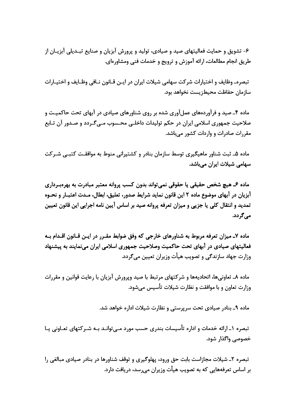۶- تشويق و حمايت فعاليتهاي صيد و صيادي، توليد و پرورش آبزيان و صنايع تبـديلي آبزيـان از طريق انجام مطالعات، ارائه آموزش و ترويج و خدمات فني ومشاورهاي.

تبصرهـ وظايف و اختيارات شركت سهامي شيلات ايران در ايـن قـانون نـافي وظـايف و اختيـارات سازمان حفاظت محيطزيست نخواهد بود.

ماده ۴ـ صید و فرآوردههای عملآوری شده بر روی شناورهای صیادی در آبهای تحت حاکمیـت و صلاحیت جمهوری اسلامی ایران در حکم تولیدات داخلـی محـسوب مـی٤گـردد و صـدور آن تـابع مقررات صادرات و واردات کشور مے باشد.

ماده ۵ـ ثبت شناور ماهیگیری توسط سازمان بنادر و کشتیرانی منوط به موافقـت کتبـی شـرکت سھامی شیلات ایران مے،باشد.

ماده ۶ـ هيچ شخص حقيقي يا حقوقي نمي تواند بدون كسب پروانه معتبر مبادرت به بهرهبـرداري آبزیان در آبهای موضوع ماده ۲ این قانون نماید شرایط صدور، تعلیق، ابطال، مـدت اعتبـار و نحـوه تمدید و انتقال کلی یا جزیی و میزان تعرفه پروانه صید بر اساس آیین نامه اجرایی این قانون تعیین مے ,گر دد.

ماده ۷ـ میزان تعرفه مربوط به شناورهای خارجی که وفق ضوابط مقـرر در ایـن قـانون اقـدام بـه فعالیتهای صیادی در آبهای تحت حاکمیت وصلاحیت جمهوری اسلامی ایران می;نمایند به پیشنهاد وزارت جهاد سازندگی و تصویب هیأت وزیران تعیین می گردد.

ماده ۸ـ تعاونیها، اتحادیهها و شرکتهای مرتبط با صید وپرورش آبزیان با رعایت قوانین و مقررات وزارت تعاون و با موافقت و نظارت شیلات تأسیس می شود.

ماده ۹\_ بنادر صیادی تحت سرپرستی و نظارت شیلات اداره خواهد شد.

تبصرہ ۱ـ ارائه خدمات و ادارہ تأسیسات بندری حسب مورد مے توانـد بـه شـر کتهای تعــاونی پــا خصوصی واگذار شود.

تبصره ۲ـ شیلات مجازاست بابت حق ورود، پهلوگیری و توقف شناورها در بنادر صیادی مبالغی را بر اساس تعرفههایی که به تصویب هیأت وزیران میرسد، دریافت دارد.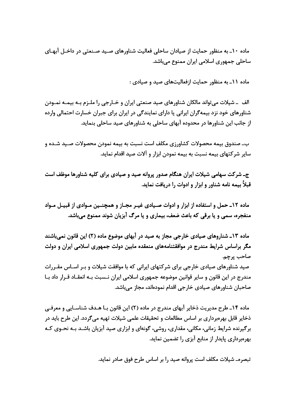ماده ۱۰ـ به منظور حمایت از صیادان ساحلی فعالیت شناورهای صـید صـنعتی در داخـل آبهـای ساحلی جمهوری اسلامی ایران ممنوع میباشد.

ماده ۱۱ـ به منظور حمایت ازفعالیتهای صید و صیادی :

الف ــ شیلات می تواند مالکان شناورهای صید صنعتی ایران و خــارجی را ملــزم بــه بیمــه نمــودن شناورهای خود نزد بیمهگران ایرانی یا دارای نمایندگی در ایران برای جبران خسارت احتمالی وارده از جانب این شناورها در محدوده آبهای ساحلی به شناورهای صید ساحلی بنماید.

ب۔ صندوق بیمه محصولات کشاورزی مکلف است نسبت به بیمه نمودن محصولات صـید شـده و سایر شرکتهای بیمه نسبت به بیمه نمودن ابزار و آلات صید اقدام نماید.

جـ شرکت سهامی شیلات ایران هنگام صدور پروانه صید و صیادی برای کلیه شناورها موظف است قبلاً بیمه نامه شناور و ابزار و ادوات را دریافت نماید.

ماده ١٢ـ حمل و استفاده از ابزار و ادوات صـيادي غيـر مجـاز و همچنـين مـوادي از قبيـل مـواد منفجره، سمی و یا برقی که باعث ضعف، بیماری و یا مرگ آبزیان شوند ممنوع میباشد.

ماده ۱۳ـ شناروهای صیادی خارجی مجاز به صید در آبهای موضوع ماده (۲) این قانون نمی باشند مگر براساس شرایط مندرج در موافقتنامههای منعقده مابین دولت جمهوری اسلامی ایران و دولت صاحب پرچم.

صید شناورهای صیادی خارجی برای شرکتهای ایرانی که با موافقت شیلات و بـر اسـاس مقـررات مندرج در این قانون و سایر قوانین موضوعه جمهوری اسلامی ایران نـسبت بـه انعقــاد قــرار داد بــا صاحبان شناورهای صیادی خارجی اقدام نمودهاند، مجاز می،باشد.

ماده ۱۴ـ طرح مدیریت ذخایر آبهای مندرج در ماده (۲) این قانون بـا هـدف شناسـایی و معرفـی ذخایر قابل بهرەبرداری بر اساس مطالعات و تحقیقات علمی شیلات تهیه میگردد. این طرح باید در برگیرنده شرایط زمانی، مکانی، مقداری، روشی، گونهای و ابزاری صید آبزیان باشـد بـه نحـوی کـه بهرهبرداری پایدار از منابع آبزی را تضمین نماید.

تبصرهـ شیلات مكلف است پروانه صید را بر اساس طرح فوق صادر نماید.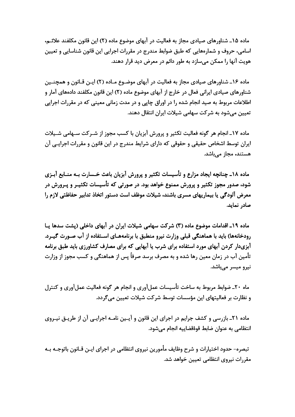ماده ۱۵ـ شناورهای صیادی مجاز به فعالیت در آبهای موضوع ماده (۲) این قانون مکلفند علائـم، اسامی، حروف و شمارههایی که طبق ضوابط مندرج در مقررات اجرایی این قانون شناسایی و تعیین هویت آنها را ممکن میسازد به طور دائم در معرض دید قرار دهند.

ماده ۱۶ـ شناورهای صیادی مجاز به فعالیت در آبهای موضـوع مـاده (۲) ایـن قـانون و همچنـین شناورهای صیادی ایرانی فعال در خارج از آبهای موضوع ماده (۲) این قانون مکلفند دادههای آمار و اطلاعات مربوط به صید انجام شده را در اوراق چاپی و در مدت زمانی معینی که در مقررات اجرایی تعیین میشود به شرکت سهامی شیلات ایران انتقال دهند.

ماده ١٧ـ انجام هر گونه فعالیت تکثیر و پرورش آبزیان با کسب مجوز از شـرکت سـهامی شـیلات ايران توسط اشخاص حقيقي و حقوقي كه داراي شرايط مندرج در اين قانون و مقررات اجرايـي آن هستند، مجاز مے باشد.

ماده ۱۸\_ چنانچه ایجاد مزارع و تأسیسات تکثیر و پرورش آبزیان باعث خـسارت بـه منــابع آبـزی شود، صدور مجوز تکثیر و پرورش ممنوع خواهد بود. در صورتی که تأسیسات تکثیـر و پـرورش در معرض آلودگی یا بیماریهای مسری باشند، شیلات موظف است دستور اتخاذ تدابیر حفاظتی لازم را صادر نماید.

ماده ۱۹ـ اقدامات موضوع ماده (۳) شرکت سهامی شیلات ایران در آبهای داخلی (پشت سدها پـا رودخانهها) باید با هماهنگی قبلی وزارت نیرو منطبق با برنامههـای اسـتفاده از آب صـورت گیـرد. آبزیدار کردن آبهای مورد استفاده برای شرب یا آبهایی که برای مصارف کشاورزی باید طبق برنامه تأمین آب در زمان معین رها شده و به مصرف برسد صرفاً پس از هماهنگی و کسب مجوز از وزارت نیرو میسر میہاشد.

ماه ۲۰ـ ضوابط مربوط به ساخت تأسیسات عملآوری و انجام هر گونه فعالیت عملآوری و کنترل و نظارت بر فعالیتهای این مؤسسات توسط شرکت شیلات تعیین می گردد.

ماده ۲۱ـ بازرسی و کشف جرایم در اجرای این قانون و آیـین نامــه اجرایــی آن از طریــق نیــروی انتظامی به عنوان ضابط قوۂقضاپیه انجام مے,شود.

تبصره- حدود اختیارات و شرح وظایف مأمورین نیروی انتظامی در اجرای ایـن قـانون باتوجـه بـه مقررات نیروی انتظامی تعیین خواهد شد.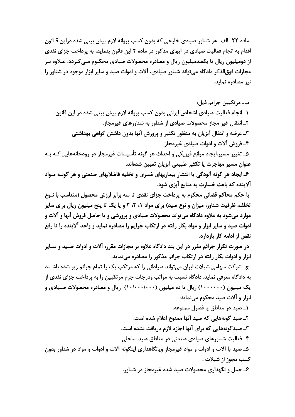ماده ٢٢ـ الف\_ هر شناور صيادي خارجي كه بدون كسب پروانه لازم پيش بيني شده دراين قــانون اقدام به انجام فعالیت صیادی در آبهای مذکور در ماده ۲ این قانون بنماید، به پرداخت جزای نقدی از دومیلیون ریال تا یکصدمیلیون ریال و مصادره محصولات صیادی محکـوم مـی۴گـردد. عـلاوه بـر مجازات فوق|لذکر دادگاه می تواند شناور صیادی، آلات و ادوات صید و سایر ابزار موجود در شناور را نیز مصادره نماید.

ب۔ مرتکبین جرایم ذیل: ١\_ انجام فعاليت صيادي اشخاص ايراني بدون كسب پروانه لازم پيش بيني شده در اين قانون. ۲\_ انتقال غیر مجاز محصولات صیادی از شناور به شناورهای غیرمجاز. ۳ـ عرضه و انتقال آبزیان به منظور تکثیر و پرورش آنها بدون داشتن گواهی بهداشتی ۴ـ فروش آلات و ادوات صیادی غیرمجاز ۵ـ تغییر مسیر،ایجاد موانع فیزیکی و احداث هر گونه تأسیسات غیرمجاز در رودخانههایی کـه بـه عنوان مسير مهاجرت يا تكثير طبيعي آبزيان تعيين شدهاند.

۶ـ ایجاد هر گونه آلودگی یا انتشار بیماریهای مُسری و تخلیه فاضلابهای صنعتی و هر گونـه مـواد آلاینده که باعث خسارت به منابع آبزی شود.

با حکم محاکم قضائی محکوم به پرداخت جزای نقدی تا سه برابر ارزش محصول (متناسب با نــوع تخلف، ظرفیت شناور، میزان و نوع صید) برای مواد ۱، ۲، ۳ و یا یک تا پنج میلیون ریال برای سایر موارد میشود به علاوه دادگاه میتواند محصولات صیادی و پرورشی و یا حاصل فروش آنها و آلات و ادوات صید و سایر ابزار و مواد بکار رفته در ارتکاب جرایم را مصادره نماید و واحد آلاینده را تا رفع نقص از ادامه کار بازدارد.

در صورت تکرار جرائم مقرر در این بند دادگاه علاوه بر مجازات مقرر، آلات و ادوات صـید و سـایر ابزار و ادوات بکار رفته در ارتکاب جرائم مذکور را مصادره می نماید.

ج۔ شرکت سهامی شیلات ایران می تواند صیادانی را که مرتکب یک یا تمام جرائم زیر شده باشـند به دادگاه معرفی نماید. دادگاه نسبت به مراتب ودرجات جرم مرتکبین را به پرداخت جزای نقدی از یک میلیون (۱۰۰۰۰۰۰) ریال تا ده میلیون (۱۰۰۰۰۰۰۰۰) ریال و مصادره محصولات صـیادی و ابزار و آلات صید محکوم می نماید:

١ـ صيد در مناطق يا فصول ممنوعه. ٢ـ صيد گونههايي كه صيد آنها ممنوع اعلام شده است. ۳ـ صیدگونههایی که برای آنها اجازه لازم دریافت نشده است. ۴ـ فعالیت شناورهای صیادی صنعتی در مناطق صید ساحلی ۵ـ صید با آلات و ادوات و مواد غیرمجاز ویانگاهداری اینگونه آلات و ادوات و مواد در شناور بدون كسب مجوز از شيلات . ۶ـ حمل و نگهداری محصولات صید شده غیرمجاز در شناور.